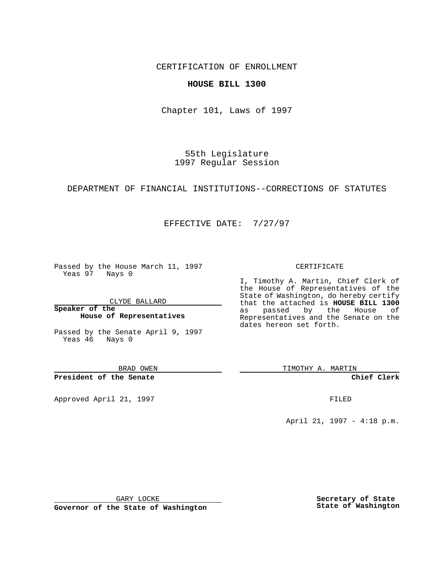CERTIFICATION OF ENROLLMENT

### **HOUSE BILL 1300**

Chapter 101, Laws of 1997

55th Legislature 1997 Regular Session

DEPARTMENT OF FINANCIAL INSTITUTIONS--CORRECTIONS OF STATUTES

## EFFECTIVE DATE: 7/27/97

Passed by the House March 11, 1997 Yeas 97 Nays 0

CLYDE BALLARD

**Speaker of the House of Representatives**

Passed by the Senate April 9, 1997 Yeas 46 Nays 0

BRAD OWEN

**President of the Senate**

Approved April 21, 1997 **FILED** 

#### CERTIFICATE

I, Timothy A. Martin, Chief Clerk of the House of Representatives of the State of Washington, do hereby certify that the attached is **HOUSE BILL 1300** as passed by the House of Representatives and the Senate on the dates hereon set forth.

TIMOTHY A. MARTIN

**Chief Clerk**

April 21, 1997 - 4:18 p.m.

GARY LOCKE

**Governor of the State of Washington**

**Secretary of State State of Washington**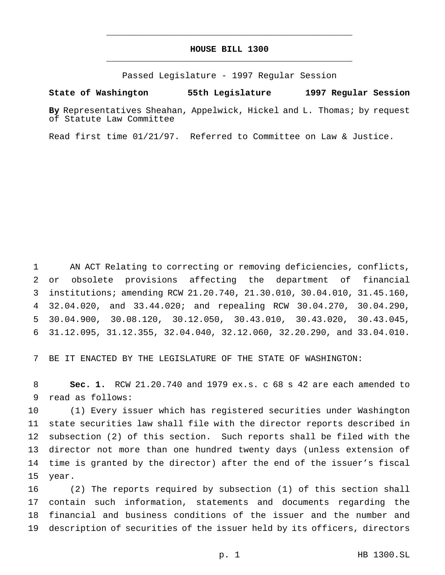# **HOUSE BILL 1300** \_\_\_\_\_\_\_\_\_\_\_\_\_\_\_\_\_\_\_\_\_\_\_\_\_\_\_\_\_\_\_\_\_\_\_\_\_\_\_\_\_\_\_\_\_\_\_

\_\_\_\_\_\_\_\_\_\_\_\_\_\_\_\_\_\_\_\_\_\_\_\_\_\_\_\_\_\_\_\_\_\_\_\_\_\_\_\_\_\_\_\_\_\_\_

Passed Legislature - 1997 Regular Session

#### **State of Washington 55th Legislature 1997 Regular Session**

**By** Representatives Sheahan, Appelwick, Hickel and L. Thomas; by request of Statute Law Committee

Read first time 01/21/97. Referred to Committee on Law & Justice.

 AN ACT Relating to correcting or removing deficiencies, conflicts, or obsolete provisions affecting the department of financial institutions; amending RCW 21.20.740, 21.30.010, 30.04.010, 31.45.160, 32.04.020, and 33.44.020; and repealing RCW 30.04.270, 30.04.290, 30.04.900, 30.08.120, 30.12.050, 30.43.010, 30.43.020, 30.43.045, 31.12.095, 31.12.355, 32.04.040, 32.12.060, 32.20.290, and 33.04.010.

BE IT ENACTED BY THE LEGISLATURE OF THE STATE OF WASHINGTON:

 **Sec. 1.** RCW 21.20.740 and 1979 ex.s. c 68 s 42 are each amended to read as follows:

 (1) Every issuer which has registered securities under Washington state securities law shall file with the director reports described in subsection (2) of this section. Such reports shall be filed with the director not more than one hundred twenty days (unless extension of time is granted by the director) after the end of the issuer's fiscal year.

 (2) The reports required by subsection (1) of this section shall contain such information, statements and documents regarding the financial and business conditions of the issuer and the number and description of securities of the issuer held by its officers, directors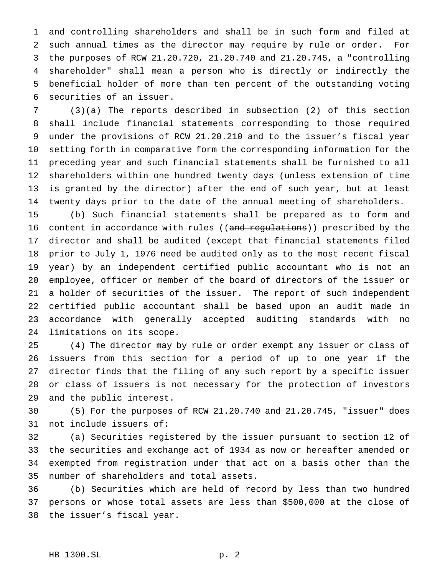and controlling shareholders and shall be in such form and filed at such annual times as the director may require by rule or order. For the purposes of RCW 21.20.720, 21.20.740 and 21.20.745, a "controlling shareholder" shall mean a person who is directly or indirectly the beneficial holder of more than ten percent of the outstanding voting securities of an issuer.

 (3)(a) The reports described in subsection (2) of this section shall include financial statements corresponding to those required under the provisions of RCW 21.20.210 and to the issuer's fiscal year setting forth in comparative form the corresponding information for the preceding year and such financial statements shall be furnished to all shareholders within one hundred twenty days (unless extension of time is granted by the director) after the end of such year, but at least twenty days prior to the date of the annual meeting of shareholders.

 (b) Such financial statements shall be prepared as to form and 16 content in accordance with rules ((and regulations)) prescribed by the director and shall be audited (except that financial statements filed prior to July 1, 1976 need be audited only as to the most recent fiscal year) by an independent certified public accountant who is not an employee, officer or member of the board of directors of the issuer or a holder of securities of the issuer. The report of such independent certified public accountant shall be based upon an audit made in accordance with generally accepted auditing standards with no limitations on its scope.

 (4) The director may by rule or order exempt any issuer or class of issuers from this section for a period of up to one year if the director finds that the filing of any such report by a specific issuer or class of issuers is not necessary for the protection of investors and the public interest.

 (5) For the purposes of RCW 21.20.740 and 21.20.745, "issuer" does not include issuers of:

 (a) Securities registered by the issuer pursuant to section 12 of the securities and exchange act of 1934 as now or hereafter amended or exempted from registration under that act on a basis other than the number of shareholders and total assets.

 (b) Securities which are held of record by less than two hundred persons or whose total assets are less than \$500,000 at the close of the issuer's fiscal year.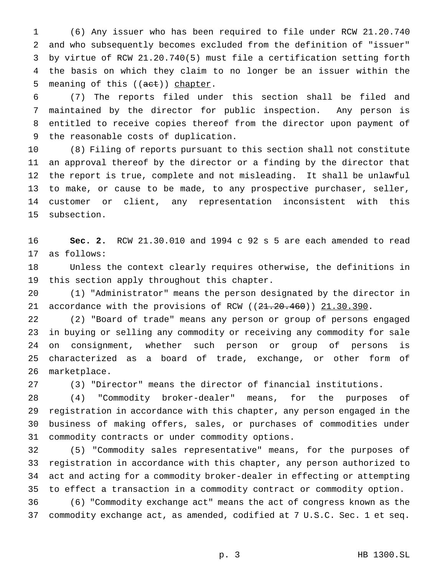(6) Any issuer who has been required to file under RCW 21.20.740 and who subsequently becomes excluded from the definition of "issuer" by virtue of RCW 21.20.740(5) must file a certification setting forth the basis on which they claim to no longer be an issuer within the 5 meaning of this ((act)) chapter.

 (7) The reports filed under this section shall be filed and maintained by the director for public inspection. Any person is entitled to receive copies thereof from the director upon payment of the reasonable costs of duplication.

 (8) Filing of reports pursuant to this section shall not constitute an approval thereof by the director or a finding by the director that the report is true, complete and not misleading. It shall be unlawful to make, or cause to be made, to any prospective purchaser, seller, customer or client, any representation inconsistent with this subsection.

 **Sec. 2.** RCW 21.30.010 and 1994 c 92 s 5 are each amended to read as follows:

 Unless the context clearly requires otherwise, the definitions in this section apply throughout this chapter.

 (1) "Administrator" means the person designated by the director in 21 accordance with the provisions of RCW  $(21.20.460)$   $21.30.390$ .

 (2) "Board of trade" means any person or group of persons engaged in buying or selling any commodity or receiving any commodity for sale on consignment, whether such person or group of persons is characterized as a board of trade, exchange, or other form of marketplace.

(3) "Director" means the director of financial institutions.

 (4) "Commodity broker-dealer" means, for the purposes of registration in accordance with this chapter, any person engaged in the business of making offers, sales, or purchases of commodities under commodity contracts or under commodity options.

 (5) "Commodity sales representative" means, for the purposes of registration in accordance with this chapter, any person authorized to act and acting for a commodity broker-dealer in effecting or attempting to effect a transaction in a commodity contract or commodity option.

 (6) "Commodity exchange act" means the act of congress known as the commodity exchange act, as amended, codified at 7 U.S.C. Sec. 1 et seq.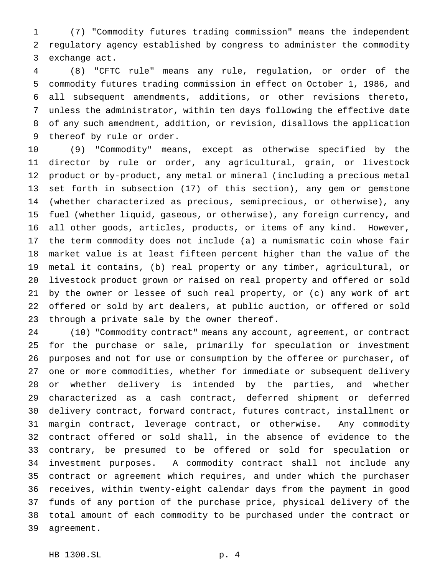(7) "Commodity futures trading commission" means the independent regulatory agency established by congress to administer the commodity exchange act.

 (8) "CFTC rule" means any rule, regulation, or order of the commodity futures trading commission in effect on October 1, 1986, and all subsequent amendments, additions, or other revisions thereto, unless the administrator, within ten days following the effective date of any such amendment, addition, or revision, disallows the application thereof by rule or order.

 (9) "Commodity" means, except as otherwise specified by the director by rule or order, any agricultural, grain, or livestock product or by-product, any metal or mineral (including a precious metal set forth in subsection (17) of this section), any gem or gemstone (whether characterized as precious, semiprecious, or otherwise), any fuel (whether liquid, gaseous, or otherwise), any foreign currency, and all other goods, articles, products, or items of any kind. However, the term commodity does not include (a) a numismatic coin whose fair market value is at least fifteen percent higher than the value of the metal it contains, (b) real property or any timber, agricultural, or livestock product grown or raised on real property and offered or sold by the owner or lessee of such real property, or (c) any work of art offered or sold by art dealers, at public auction, or offered or sold through a private sale by the owner thereof.

 (10) "Commodity contract" means any account, agreement, or contract for the purchase or sale, primarily for speculation or investment purposes and not for use or consumption by the offeree or purchaser, of one or more commodities, whether for immediate or subsequent delivery or whether delivery is intended by the parties, and whether characterized as a cash contract, deferred shipment or deferred delivery contract, forward contract, futures contract, installment or margin contract, leverage contract, or otherwise. Any commodity contract offered or sold shall, in the absence of evidence to the contrary, be presumed to be offered or sold for speculation or investment purposes. A commodity contract shall not include any contract or agreement which requires, and under which the purchaser receives, within twenty-eight calendar days from the payment in good funds of any portion of the purchase price, physical delivery of the total amount of each commodity to be purchased under the contract or agreement.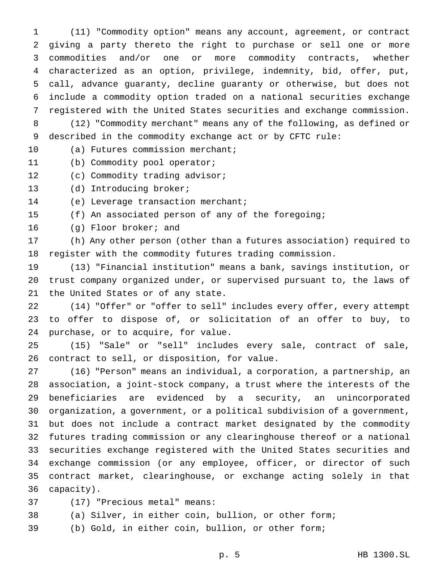(11) "Commodity option" means any account, agreement, or contract giving a party thereto the right to purchase or sell one or more commodities and/or one or more commodity contracts, whether characterized as an option, privilege, indemnity, bid, offer, put, call, advance guaranty, decline guaranty or otherwise, but does not include a commodity option traded on a national securities exchange registered with the United States securities and exchange commission. (12) "Commodity merchant" means any of the following, as defined or described in the commodity exchange act or by CFTC rule: (a) Futures commission merchant; (b) Commodity pool operator; 12 (c) Commodity trading advisor; (d) Introducing broker; (e) Leverage transaction merchant; (f) An associated person of any of the foregoing; (g) Floor broker; and (h) Any other person (other than a futures association) required to register with the commodity futures trading commission. (13) "Financial institution" means a bank, savings institution, or trust company organized under, or supervised pursuant to, the laws of the United States or of any state. (14) "Offer" or "offer to sell" includes every offer, every attempt to offer to dispose of, or solicitation of an offer to buy, to purchase, or to acquire, for value. (15) "Sale" or "sell" includes every sale, contract of sale, contract to sell, or disposition, for value. (16) "Person" means an individual, a corporation, a partnership, an association, a joint-stock company, a trust where the interests of the beneficiaries are evidenced by a security, an unincorporated organization, a government, or a political subdivision of a government, but does not include a contract market designated by the commodity futures trading commission or any clearinghouse thereof or a national securities exchange registered with the United States securities and exchange commission (or any employee, officer, or director of such contract market, clearinghouse, or exchange acting solely in that capacity).

(17) "Precious metal" means:

(a) Silver, in either coin, bullion, or other form;

(b) Gold, in either coin, bullion, or other form;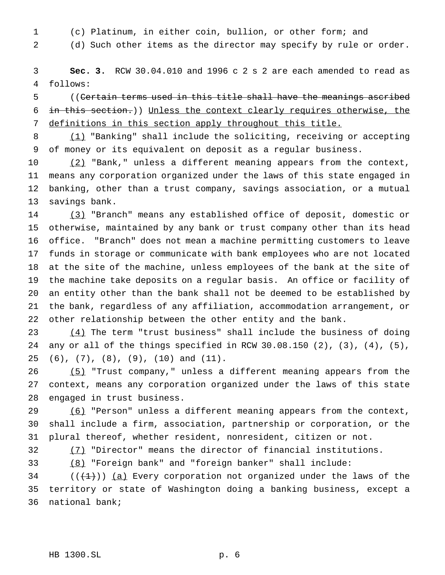- 
- (c) Platinum, in either coin, bullion, or other form; and
- 

(d) Such other items as the director may specify by rule or order.

 **Sec. 3.** RCW 30.04.010 and 1996 c 2 s 2 are each amended to read as follows:

 ((Certain terms used in this title shall have the meanings ascribed in this section.)) Unless the context clearly requires otherwise, the definitions in this section apply throughout this title.

 (1) "Banking" shall include the soliciting, receiving or accepting of money or its equivalent on deposit as a regular business.

10 (2) "Bank," unless a different meaning appears from the context, means any corporation organized under the laws of this state engaged in banking, other than a trust company, savings association, or a mutual savings bank.

 (3) "Branch" means any established office of deposit, domestic or otherwise, maintained by any bank or trust company other than its head office. "Branch" does not mean a machine permitting customers to leave funds in storage or communicate with bank employees who are not located at the site of the machine, unless employees of the bank at the site of the machine take deposits on a regular basis. An office or facility of an entity other than the bank shall not be deemed to be established by the bank, regardless of any affiliation, accommodation arrangement, or other relationship between the other entity and the bank.

23 (4) The term "trust business" shall include the business of doing any or all of the things specified in RCW 30.08.150 (2), (3), (4), (5), (6), (7), (8), (9), (10) and (11).

 (5) "Trust company," unless a different meaning appears from the context, means any corporation organized under the laws of this state engaged in trust business.

29 (6) "Person" unless a different meaning appears from the context, shall include a firm, association, partnership or corporation, or the plural thereof, whether resident, nonresident, citizen or not.

(7) "Director" means the director of financial institutions.

(8) "Foreign bank" and "foreign banker" shall include:

34 ( $(\frac{1}{1})$ ) (a) Every corporation not organized under the laws of the territory or state of Washington doing a banking business, except a national bank;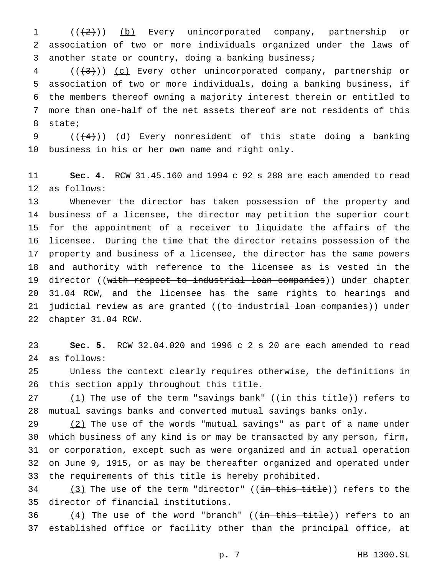1 (( $(2)$ )) (b) Every unincorporated company, partnership or association of two or more individuals organized under the laws of another state or country, doing a banking business;

4 (( $(3)$ )) (c) Every other unincorporated company, partnership or association of two or more individuals, doing a banking business, if the members thereof owning a majority interest therein or entitled to more than one-half of the net assets thereof are not residents of this state;

 $((+4))$  (d) Every nonresident of this state doing a banking business in his or her own name and right only.

 **Sec. 4.** RCW 31.45.160 and 1994 c 92 s 288 are each amended to read as follows:

 Whenever the director has taken possession of the property and business of a licensee, the director may petition the superior court for the appointment of a receiver to liquidate the affairs of the licensee. During the time that the director retains possession of the property and business of a licensee, the director has the same powers and authority with reference to the licensee as is vested in the 19 director ((with respect to industrial loan companies)) under chapter 20 31.04 RCW, and the licensee has the same rights to hearings and 21 judicial review as are granted ((to industrial loan companies)) under chapter 31.04 RCW.

 **Sec. 5.** RCW 32.04.020 and 1996 c 2 s 20 are each amended to read as follows:

 Unless the context clearly requires otherwise, the definitions in 26 this section apply throughout this title.

 $(1)$  The use of the term "savings bank" ((in this title)) refers to mutual savings banks and converted mutual savings banks only.

29 (2) The use of the words "mutual savings" as part of a name under which business of any kind is or may be transacted by any person, firm, or corporation, except such as were organized and in actual operation on June 9, 1915, or as may be thereafter organized and operated under the requirements of this title is hereby prohibited.

34  $(3)$  The use of the term "director" ((in this title)) refers to the director of financial institutions.

36  $(4)$  The use of the word "branch" ((in this title)) refers to an established office or facility other than the principal office, at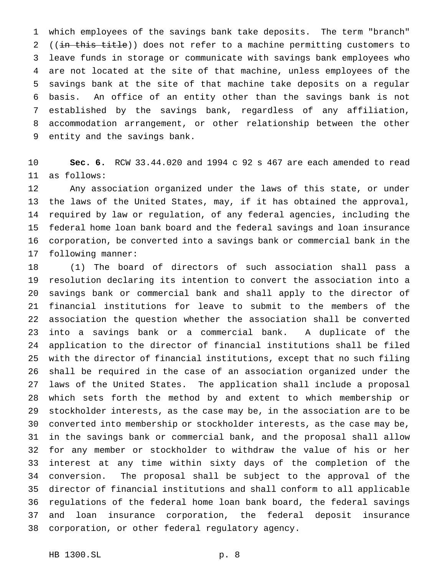which employees of the savings bank take deposits. The term "branch" 2 ((in this title)) does not refer to a machine permitting customers to leave funds in storage or communicate with savings bank employees who are not located at the site of that machine, unless employees of the savings bank at the site of that machine take deposits on a regular basis. An office of an entity other than the savings bank is not established by the savings bank, regardless of any affiliation, accommodation arrangement, or other relationship between the other entity and the savings bank.

 **Sec. 6.** RCW 33.44.020 and 1994 c 92 s 467 are each amended to read as follows:

 Any association organized under the laws of this state, or under the laws of the United States, may, if it has obtained the approval, required by law or regulation, of any federal agencies, including the federal home loan bank board and the federal savings and loan insurance corporation, be converted into a savings bank or commercial bank in the following manner:

 (1) The board of directors of such association shall pass a resolution declaring its intention to convert the association into a savings bank or commercial bank and shall apply to the director of financial institutions for leave to submit to the members of the association the question whether the association shall be converted into a savings bank or a commercial bank. A duplicate of the application to the director of financial institutions shall be filed with the director of financial institutions, except that no such filing shall be required in the case of an association organized under the laws of the United States. The application shall include a proposal which sets forth the method by and extent to which membership or stockholder interests, as the case may be, in the association are to be converted into membership or stockholder interests, as the case may be, in the savings bank or commercial bank, and the proposal shall allow for any member or stockholder to withdraw the value of his or her interest at any time within sixty days of the completion of the conversion. The proposal shall be subject to the approval of the director of financial institutions and shall conform to all applicable regulations of the federal home loan bank board, the federal savings and loan insurance corporation, the federal deposit insurance corporation, or other federal regulatory agency.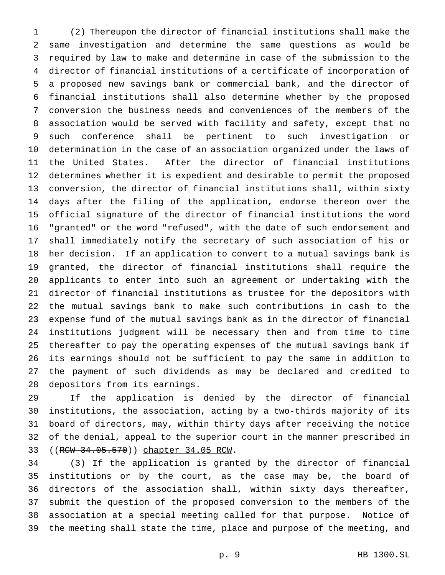(2) Thereupon the director of financial institutions shall make the same investigation and determine the same questions as would be required by law to make and determine in case of the submission to the director of financial institutions of a certificate of incorporation of a proposed new savings bank or commercial bank, and the director of financial institutions shall also determine whether by the proposed conversion the business needs and conveniences of the members of the association would be served with facility and safety, except that no such conference shall be pertinent to such investigation or determination in the case of an association organized under the laws of the United States. After the director of financial institutions determines whether it is expedient and desirable to permit the proposed conversion, the director of financial institutions shall, within sixty days after the filing of the application, endorse thereon over the official signature of the director of financial institutions the word "granted" or the word "refused", with the date of such endorsement and shall immediately notify the secretary of such association of his or her decision. If an application to convert to a mutual savings bank is granted, the director of financial institutions shall require the applicants to enter into such an agreement or undertaking with the director of financial institutions as trustee for the depositors with the mutual savings bank to make such contributions in cash to the expense fund of the mutual savings bank as in the director of financial institutions judgment will be necessary then and from time to time thereafter to pay the operating expenses of the mutual savings bank if its earnings should not be sufficient to pay the same in addition to the payment of such dividends as may be declared and credited to depositors from its earnings.

 If the application is denied by the director of financial institutions, the association, acting by a two-thirds majority of its board of directors, may, within thirty days after receiving the notice of the denial, appeal to the superior court in the manner prescribed in ((RCW 34.05.570)) chapter 34.05 RCW.

 (3) If the application is granted by the director of financial institutions or by the court, as the case may be, the board of directors of the association shall, within sixty days thereafter, submit the question of the proposed conversion to the members of the association at a special meeting called for that purpose. Notice of the meeting shall state the time, place and purpose of the meeting, and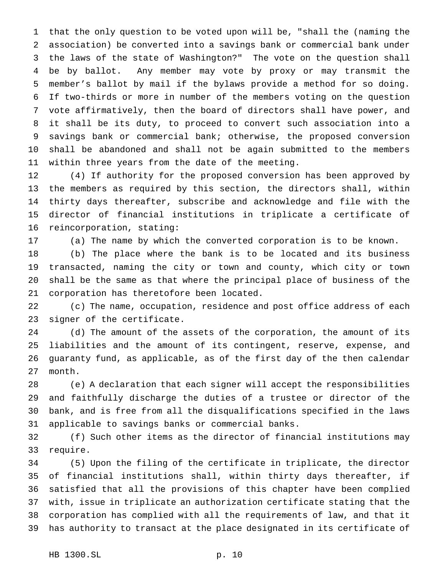that the only question to be voted upon will be, "shall the (naming the association) be converted into a savings bank or commercial bank under the laws of the state of Washington?" The vote on the question shall be by ballot. Any member may vote by proxy or may transmit the member's ballot by mail if the bylaws provide a method for so doing. If two-thirds or more in number of the members voting on the question vote affirmatively, then the board of directors shall have power, and it shall be its duty, to proceed to convert such association into a savings bank or commercial bank; otherwise, the proposed conversion shall be abandoned and shall not be again submitted to the members within three years from the date of the meeting.

 (4) If authority for the proposed conversion has been approved by the members as required by this section, the directors shall, within thirty days thereafter, subscribe and acknowledge and file with the director of financial institutions in triplicate a certificate of reincorporation, stating:

(a) The name by which the converted corporation is to be known.

 (b) The place where the bank is to be located and its business transacted, naming the city or town and county, which city or town shall be the same as that where the principal place of business of the corporation has theretofore been located.

 (c) The name, occupation, residence and post office address of each signer of the certificate.

 (d) The amount of the assets of the corporation, the amount of its liabilities and the amount of its contingent, reserve, expense, and guaranty fund, as applicable, as of the first day of the then calendar month.

 (e) A declaration that each signer will accept the responsibilities and faithfully discharge the duties of a trustee or director of the bank, and is free from all the disqualifications specified in the laws applicable to savings banks or commercial banks.

 (f) Such other items as the director of financial institutions may require.

 (5) Upon the filing of the certificate in triplicate, the director of financial institutions shall, within thirty days thereafter, if satisfied that all the provisions of this chapter have been complied with, issue in triplicate an authorization certificate stating that the corporation has complied with all the requirements of law, and that it has authority to transact at the place designated in its certificate of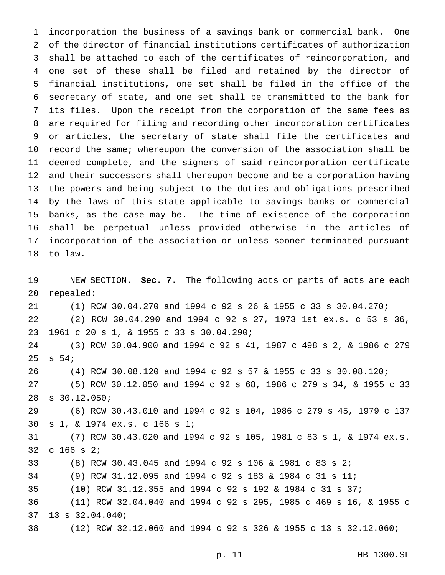incorporation the business of a savings bank or commercial bank. One of the director of financial institutions certificates of authorization shall be attached to each of the certificates of reincorporation, and one set of these shall be filed and retained by the director of financial institutions, one set shall be filed in the office of the secretary of state, and one set shall be transmitted to the bank for its files. Upon the receipt from the corporation of the same fees as are required for filing and recording other incorporation certificates or articles, the secretary of state shall file the certificates and record the same; whereupon the conversion of the association shall be deemed complete, and the signers of said reincorporation certificate and their successors shall thereupon become and be a corporation having the powers and being subject to the duties and obligations prescribed by the laws of this state applicable to savings banks or commercial banks, as the case may be. The time of existence of the corporation shall be perpetual unless provided otherwise in the articles of incorporation of the association or unless sooner terminated pursuant to law.

 NEW SECTION. **Sec. 7.** The following acts or parts of acts are each repealed: (1) RCW 30.04.270 and 1994 c 92 s 26 & 1955 c 33 s 30.04.270; (2) RCW 30.04.290 and 1994 c 92 s 27, 1973 1st ex.s. c 53 s 36, 1961 c 20 s 1, & 1955 c 33 s 30.04.290; (3) RCW 30.04.900 and 1994 c 92 s 41, 1987 c 498 s 2, & 1986 c 279 s 54; (4) RCW 30.08.120 and 1994 c 92 s 57 & 1955 c 33 s 30.08.120; (5) RCW 30.12.050 and 1994 c 92 s 68, 1986 c 279 s 34, & 1955 c 33 s 30.12.050; (6) RCW 30.43.010 and 1994 c 92 s 104, 1986 c 279 s 45, 1979 c 137 s 1, & 1974 ex.s. c 166 s 1; (7) RCW 30.43.020 and 1994 c 92 s 105, 1981 c 83 s 1, & 1974 ex.s. c 166 s 2; (8) RCW 30.43.045 and 1994 c 92 s 106 & 1981 c 83 s 2; (9) RCW 31.12.095 and 1994 c 92 s 183 & 1984 c 31 s 11; (10) RCW 31.12.355 and 1994 c 92 s 192 & 1984 c 31 s 37; (11) RCW 32.04.040 and 1994 c 92 s 295, 1985 c 469 s 16, & 1955 c 13 s 32.04.040; (12) RCW 32.12.060 and 1994 c 92 s 326 & 1955 c 13 s 32.12.060;

p. 11 HB 1300.SL